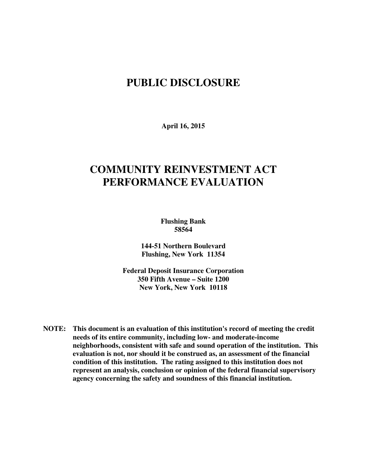## **PUBLIC DISCLOSURE**

**April 16, 2015** 

# **COMMUNITY REINVESTMENT ACT PERFORMANCE EVALUATION**

**Flushing Bank 58564** 

**144-51 Northern Boulevard Flushing, New York 11354** 

**Federal Deposit Insurance Corporation 350 Fifth Avenue – Suite 1200 New York, New York 10118** 

**NOTE: This document is an evaluation of this institution's record of meeting the credit needs of its entire community, including low- and moderate-income neighborhoods, consistent with safe and sound operation of the institution.****This evaluation is not, nor should it be construed as, an assessment of the financial condition of this institution. The rating assigned to this institution does not represent an analysis, conclusion or opinion of the federal financial supervisory agency concerning the safety and soundness of this financial institution.**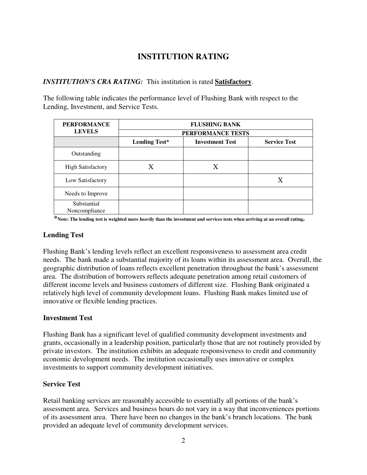### **INSTITUTION RATING**

#### *INSTITUTION'S CRA RATING:* This institution is rated **Satisfactory**.

The following table indicates the performance level of Flushing Bank with respect to the Lending, Investment, and Service Tests.

| <b>PERFORMANCE</b>           | <b>FLUSHING BANK</b> |                        |                     |  |  |  |  |
|------------------------------|----------------------|------------------------|---------------------|--|--|--|--|
| <b>LEVELS</b>                | PERFORMANCE TESTS    |                        |                     |  |  |  |  |
|                              | <b>Lending Test*</b> | <b>Investment Test</b> | <b>Service Test</b> |  |  |  |  |
| Outstanding                  |                      |                        |                     |  |  |  |  |
| <b>High Satisfactory</b>     | X                    | X                      |                     |  |  |  |  |
| Low Satisfactory             |                      |                        | Х                   |  |  |  |  |
| Needs to Improve             |                      |                        |                     |  |  |  |  |
| Substantial<br>Noncompliance |                      |                        |                     |  |  |  |  |

 **\*Note: The lending test is weighted more heavily than the investment and services tests when arriving at an overall rating.** 

#### **Lending Test**

Flushing Bank's lending levels reflect an excellent responsiveness to assessment area credit needs. The bank made a substantial majority of its loans within its assessment area. Overall, the geographic distribution of loans reflects excellent penetration throughout the bank's assessment area. The distribution of borrowers reflects adequate penetration among retail customers of different income levels and business customers of different size. Flushing Bank originated a relatively high level of community development loans. Flushing Bank makes limited use of innovative or flexible lending practices.

#### **Investment Test**

Flushing Bank has a significant level of qualified community development investments and grants, occasionally in a leadership position, particularly those that are not routinely provided by private investors. The institution exhibits an adequate responsiveness to credit and community economic development needs. The institution occasionally uses innovative or complex investments to support community development initiatives.

#### **Service Test**

Retail banking services are reasonably accessible to essentially all portions of the bank's assessment area. Services and business hours do not vary in a way that inconveniences portions of its assessment area. There have been no changes in the bank's branch locations. The bank provided an adequate level of community development services.